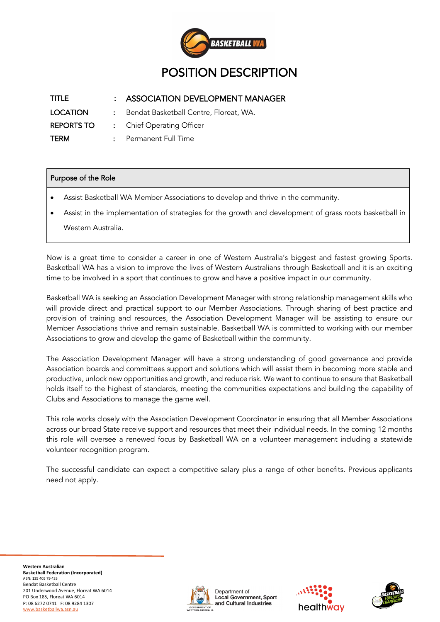

| TITLE             | : ASSOCIATION DEVELOPMENT MANAGER        |  |  |
|-------------------|------------------------------------------|--|--|
| <b>LOCATION</b>   | : Bendat Basketball Centre, Floreat, WA. |  |  |
| <b>REPORTS TO</b> | : Chief Operating Officer                |  |  |
| <b>TERM</b>       | : Permanent Full Time                    |  |  |

## Purpose of the Role

- Assist Basketball WA Member Associations to develop and thrive in the community.
- Assist in the implementation of strategies for the growth and development of grass roots basketball in Western Australia.

Now is a great time to consider a career in one of Western Australia's biggest and fastest growing Sports. Basketball WA has a vision to improve the lives of Western Australians through Basketball and it is an exciting time to be involved in a sport that continues to grow and have a positive impact in our community.

Basketball WA is seeking an Association Development Manager with strong relationship management skills who will provide direct and practical support to our Member Associations. Through sharing of best practice and provision of training and resources, the Association Development Manager will be assisting to ensure our Member Associations thrive and remain sustainable. Basketball WA is committed to working with our member Associations to grow and develop the game of Basketball within the community.

The Association Development Manager will have a strong understanding of good governance and provide Association boards and committees support and solutions which will assist them in becoming more stable and productive, unlock new opportunities and growth, and reduce risk. We want to continue to ensure that Basketball holds itself to the highest of standards, meeting the communities expectations and building the capability of Clubs and Associations to manage the game well.

This role works closely with the Association Development Coordinator in ensuring that all Member Associations across our broad State receive support and resources that meet their individual needs. In the coming 12 months this role will oversee a renewed focus by Basketball WA on a volunteer management including a statewide volunteer recognition program.

The successful candidate can expect a competitive salary plus a range of other benefits. Previous applicants need not apply.





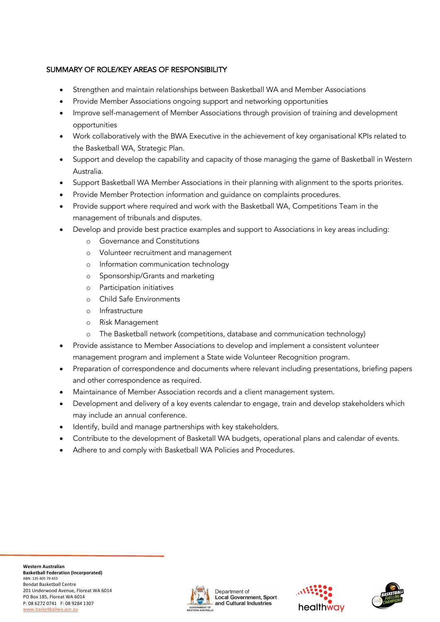## SUMMARY OF ROLE/KEY AREAS OF RESPONSIBILITY

- Strengthen and maintain relationships between Basketball WA and Member Associations
- Provide Member Associations ongoing support and networking opportunities
- Improve self-management of Member Associations through provision of training and development opportunities
- Work collaboratively with the BWA Executive in the achievement of key organisational KPIs related to the Basketball WA, Strategic Plan.
- Support and develop the capability and capacity of those managing the game of Basketball in Western Australia.
- Support Basketball WA Member Associations in their planning with alignment to the sports priorites.
- Provide Member Protection information and guidance on complaints procedures.
- Provide support where required and work with the Basketball WA, Competitions Team in the management of tribunals and disputes.
- Develop and provide best practice examples and support to Associations in key areas including:
	- o Governance and Constitutions
	- o Volunteer recruitment and management
	- o Information communication technology
	- o Sponsorship/Grants and marketing
	- o Participation initiatives
	- o Child Safe Environments
	- o Infrastructure
	- o Risk Management
	- o The Basketball network (competitions, database and communication technology)
- Provide assistance to Member Associations to develop and implement a consistent volunteer management program and implement a State wide Volunteer Recognition program.
- Preparation of correspondence and documents where relevant including presentations, briefing papers and other correspondence as required.
- Maintainance of Member Association records and a client management system.
- Development and delivery of a key events calendar to engage, train and develop stakeholders which may include an annual conference.
- Identify, build and manage partnerships with key stakeholders.
- Contribute to the development of Basketall WA budgets, operational plans and calendar of events.
- Adhere to and comply with Basketball WA Policies and Procedures.